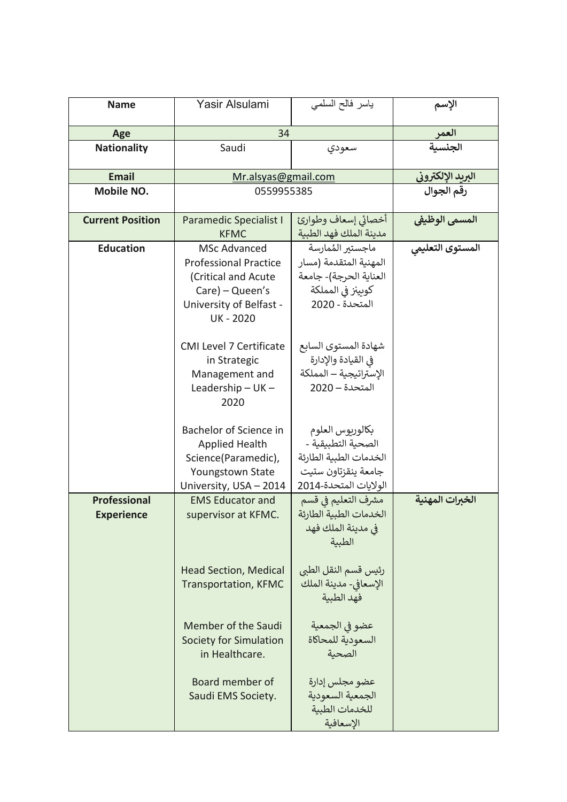| <b>Name</b>                              | Yasir Alsulami                                                                                                                                                                                                                                     | ياسر فالح السلمى                                                                                                                                                                                                                                                   | الإسم             |
|------------------------------------------|----------------------------------------------------------------------------------------------------------------------------------------------------------------------------------------------------------------------------------------------------|--------------------------------------------------------------------------------------------------------------------------------------------------------------------------------------------------------------------------------------------------------------------|-------------------|
| Age                                      | 34                                                                                                                                                                                                                                                 |                                                                                                                                                                                                                                                                    | العمر             |
| <b>Nationality</b>                       | Saudi                                                                                                                                                                                                                                              | سعودي                                                                                                                                                                                                                                                              | الجنسية           |
| <b>Email</b>                             | Mr.alsyas@gmail.com                                                                                                                                                                                                                                |                                                                                                                                                                                                                                                                    | البريد الإلكتروني |
| Mobile NO.                               | 0559955385                                                                                                                                                                                                                                         |                                                                                                                                                                                                                                                                    | رقم الجوال        |
| <b>Current Position</b>                  | Paramedic Specialist I<br><b>KFMC</b>                                                                                                                                                                                                              | أخصائي إسعاف وطوارئ<br>مدينة الملك فهد الطبية                                                                                                                                                                                                                      | المسمى الوظيفي    |
| <b>Education</b>                         | <b>MSc Advanced</b><br><b>Professional Practice</b><br>(Critical and Acute<br>$Care$ ) – Queen's<br>University of Belfast -<br><b>UK-2020</b><br><b>CMI Level 7 Certificate</b><br>in Strategic<br>Management and<br>Leadership $-$ UK $-$<br>2020 | ماجستير المُمارسة<br>المهنية المتقدمة (مسار<br>العناية الحرجة)- جامعة<br>كوبينز في المملكة<br>المتحدة - 2020<br>شهادة المستوى السابع<br>في القيادة والإدارة<br>الإستراتيجية – المملكة<br>المتحدة – 2020                                                            | المستوى التعليمى  |
|                                          | Bachelor of Science in<br><b>Applied Health</b><br>Science(Paramedic),<br>Youngstown State<br>University, USA - 2014                                                                                                                               | بكالوريوس العلوم<br>الصحية التطبيقية -<br>الخدمات الطبية الطارئة<br>جامعة ينقزتاون ستيت<br>الولايات المتحدة-2014                                                                                                                                                   |                   |
| <b>Professional</b><br><b>Experience</b> | <b>EMS Educator and</b><br>supervisor at KFMC.<br><b>Head Section, Medical</b><br><b>Transportation, KFMC</b><br>Member of the Saudi<br>Society for Simulation<br>in Healthcare.<br>Board member of<br>Saudi EMS Society.                          | مشرف التعليم في قسم<br>الخدمات الطبية الطارئة<br>في مدينة الملك فهد<br>الطبية<br>رئيس قسم النقل الطبي<br>الإسعافي- مدينة الملك<br>فهد الطبية<br>عضو في الجمعية<br>السعودية للمحاكاة<br>الصحية<br>عضو مجلس إدارة<br>الجمعية السعودية<br>للخدمات الطبية<br>الإسعافية | الخبرات المهنية   |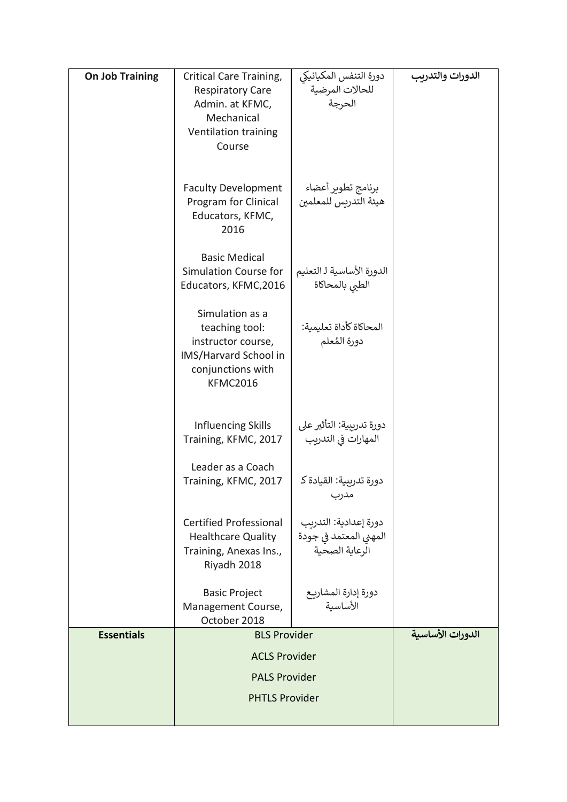| <b>On Job Training</b> | Critical Care Training,<br><b>Respiratory Care</b><br>Admin. at KFMC,<br>Mechanical<br>Ventilation training<br>Course    | دورة التنفس المكيانيكي<br>للحالات المرضية<br>الحرجة               | الدورات والتدريب |
|------------------------|--------------------------------------------------------------------------------------------------------------------------|-------------------------------------------------------------------|------------------|
|                        | <b>Faculty Development</b><br>Program for Clinical<br>Educators, KFMC,<br>2016                                           | برنامج تطوير أعضاء<br>هيئة التدريس للمعلمين                       |                  |
|                        | <b>Basic Medical</b><br>Simulation Course for<br>Educators, KFMC, 2016                                                   | الدورة الأساسية لـ التعليم<br>الطبى بالمحاكاة                     |                  |
|                        | Simulation as a<br>teaching tool:<br>instructor course,<br>IMS/Harvard School in<br>conjunctions with<br><b>KFMC2016</b> | المحاكاة كأداة تعليمية:<br>دورة المُعلم                           |                  |
|                        | <b>Influencing Skills</b><br>Training, KFMC, 2017                                                                        | دورة تدريبية: التأثير على<br>المهارات في التدريب                  |                  |
|                        | Leader as a Coach<br>Training, KFMC, 2017                                                                                | دورة تدريبية: القيادة كـ<br>مدرب                                  |                  |
|                        | <b>Certified Professional</b><br><b>Healthcare Quality</b><br>Training, Anexas Ins.,<br>Riyadh 2018                      | دورة إعدادية: التدريب<br>المهني المعتمد في جودة<br>الرعاية الصحية |                  |
|                        | <b>Basic Project</b><br>Management Course,<br>October 2018                                                               | دورة إدارة المشاريـع<br>الأساسية                                  |                  |
| <b>Essentials</b>      | <b>BLS Provider</b>                                                                                                      |                                                                   | الدورات الأساسية |
|                        | <b>ACLS Provider</b>                                                                                                     |                                                                   |                  |
|                        | <b>PALS Provider</b>                                                                                                     |                                                                   |                  |
|                        | <b>PHTLS Provider</b>                                                                                                    |                                                                   |                  |
|                        |                                                                                                                          |                                                                   |                  |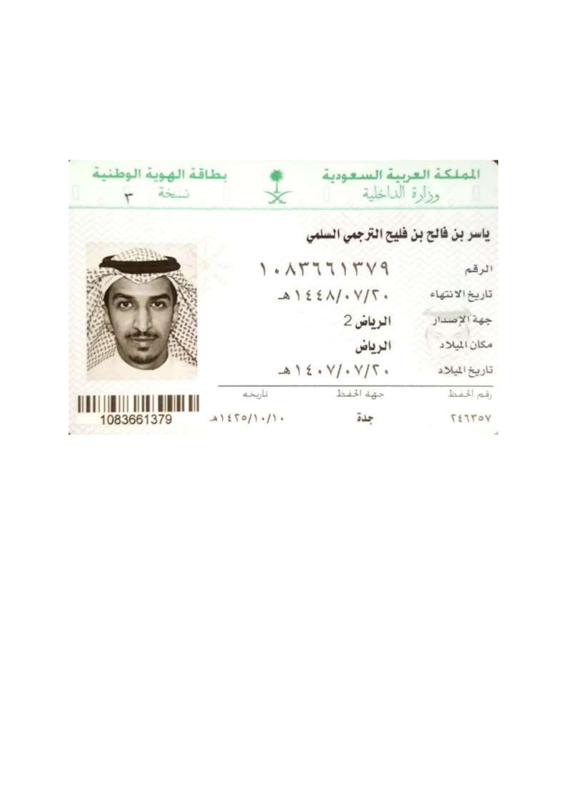| بطاقة الهوية الوطنية<br>نسخه |             | الملكة العربية السعودية<br>وزارة الداخلية |                |
|------------------------------|-------------|-------------------------------------------|----------------|
|                              |             | ياسر بن فالح بن فليح الترجمي السلمي       |                |
|                              |             | 1.157715Y9                                | الرقم          |
|                              |             | $A122A/\cdot Y/\Gamma$ .                  | تاريخ الانتهاء |
|                              |             | الرياض 2                                  | جهة الإصدار    |
|                              |             | الرياض                                    | مكان الميلاد   |
|                              |             | $.712.4$ //. Y/ 5.                        | تاريخ الميلاد  |
|                              | تاريخه      | جهة الخفظ                                 | رقم الخفظ      |
| 1083661379                   | A1570/1.11. | جدة                                       | TETTOY         |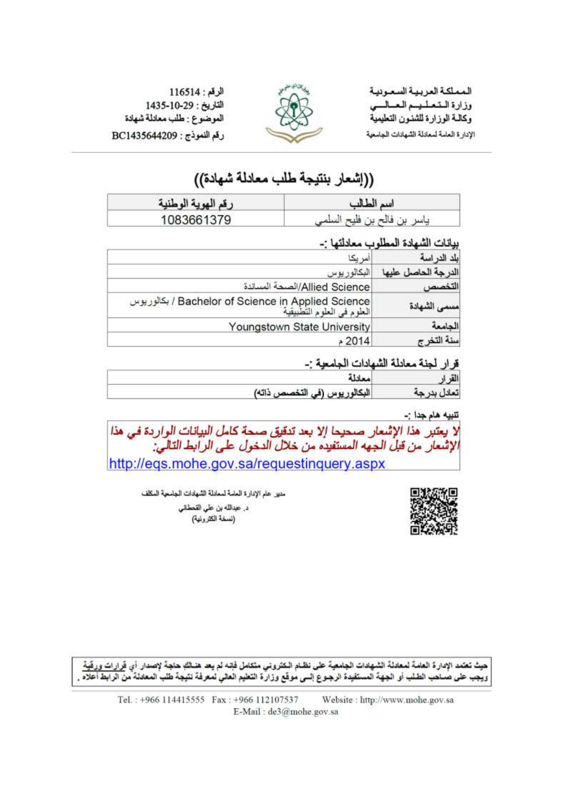المملكة العريية السعودية وزارة المتعلميم العسالسي وكالىة الوزارة للشنون التطيمية الإدارة العامة لمعادلة الشهادات الجامعية



الرقم: 116514 التاريخ: 1435-10-29 الموضوع : طلب معادلة شهادة رقم النموذج : BC1435644209

# ((إشعار بنتيجة طلب معادلة شهادة))

| رقم الهوية الوطنية | اسم الط      |
|--------------------|--------------|
| 1083661379         | فالح<br>تاسر |

#### بيانات الشهادة المطلوب معادلتها :-

| علد الدر اسة | مر بک                                                                              |
|--------------|------------------------------------------------------------------------------------|
|              | البكالور يوس                                                                       |
|              | Allied Science/الصحة المساندة                                                      |
| الشهادة      | / Bachelor of Science in Applied Science / بكالوريوس<br>العلوم في العلوم التطبيقية |
|              | Youngstown State University                                                        |
| اسنة التخرج  | 2014ء                                                                              |

#### قرار احذة معادلة الشهادات الجامعية نبر

| 21 |                               |
|----|-------------------------------|
|    | البكالور بوس (في التخصص ذاته) |

#### تتبيه هام جدا :-

لا يعتبر هذا الإشعار صحيحا إلا بعد تدقيق صحة كامل البيانات الواردة في هذا<br>الإشعار من قبل الجهه المستفيده من خلال الدخول على الرابط التالي: http://eqs.mohe.gov.sa/requestinguery.aspx



مدير عام الإدارة العامة لمعادلة الشهادات الجامعية المكلف

د. عبدالله بن علي التحطاني (نسخة الكثرونية)

حيث تعتمد الإدارة العامة لمعادلة الشهادات الجامعية على نظـام الـكتروني متكامل فإنـه لم يعد هنـالله حاجة لإصدار أي قرارات ورقية ويعب على صباحب الطلب أو الجهة المستفيدة الرجـوع إلــي موقع وزارة التعليم العالي لمعرفة نتيجة طلب المعادلة من الرابط أعلاه .

Tel.: +966 114415555 Fax: +966 112107537 Website : http://www.mohe.gov.sa E-Mail: de3@mohe.gov.sa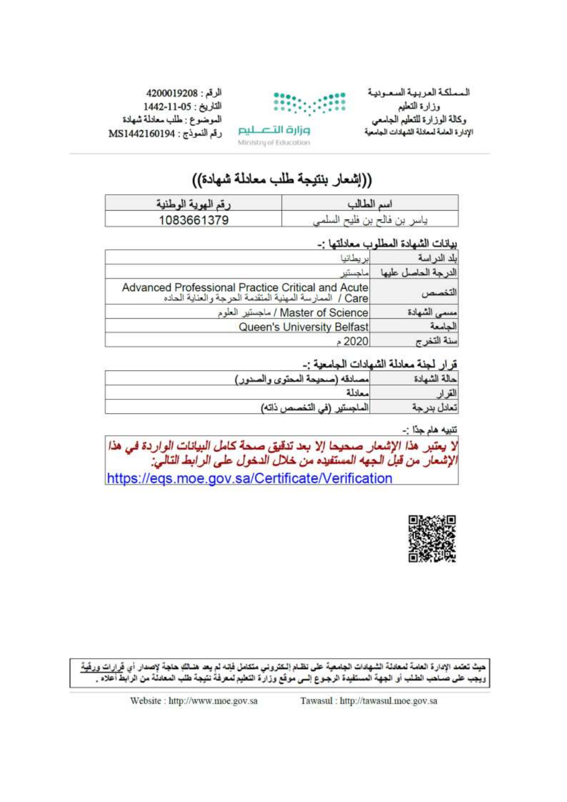المملكة العربية السعودية وزارة التطيم وكالة الوزارة للتعليم الجاسعى الإدارة العامة لمعادلة الشهادات الجامعية



الرقم: 4200019208 التاريخ: 155-1442 الموضوع : طلب معادلة شهادة رقم النموذج : MS1442160194

# Ministry of Education

وزارة التصليم

# ((إشعار بنتيجة طلب معادلة شهادة))

| وقد المدوقة المطنوقة | است الط                                      |
|----------------------|----------------------------------------------|
| 1083661379           | $1 + 1 = -1$<br>ناسر<br>⊔`، قال <del>ہ</del> |

### بيانات الشهادة المطلوب معادلتها :-

| Advanced Professional Practice Critical and Acute<br>Care / الممارسة المهنية المتقدمة الحرجة والعنابة الحاده |
|--------------------------------------------------------------------------------------------------------------|
| / Master of Science / ماجستير العلوم                                                                         |
| Queen's University Belfast                                                                                   |
|                                                                                                              |

#### قرار الحنة معادلة الشهادات الحامعية :-

| احالة الشمادة | المعبانقه اسحيحة البحترين المث |
|---------------|--------------------------------|
|               |                                |
| . ≠l          | ذاته)                          |

تنبيه هام جدًا :-

| لا يعتبر. هذا الإشعار. صحيحا إلا بعد تنقيق صحة كامل البيانات الواردة في هذا  <br>الإشعار. من قبل الجهه المستفيده من خلال الدخول على الرابط التالي: |
|----------------------------------------------------------------------------------------------------------------------------------------------------|
| https://eqs.moe.gov.sa/Certificate/Verification                                                                                                    |



حيث تعتمد الإدارة العامة لمعادلة الشهادات الجامعية على نظـام إلـكتروني متكامل فإنـه لم يعد هنـاللهِ حاجة لإصدار أي فَرارات ورفَية ويُجِب على صُناحَب الطلب أو الجهة المستقيدة الرجوع السي موقع وزارة التعليم لمعرفةُ نَتيجة طلب المعادلة من الرابط أعلاه .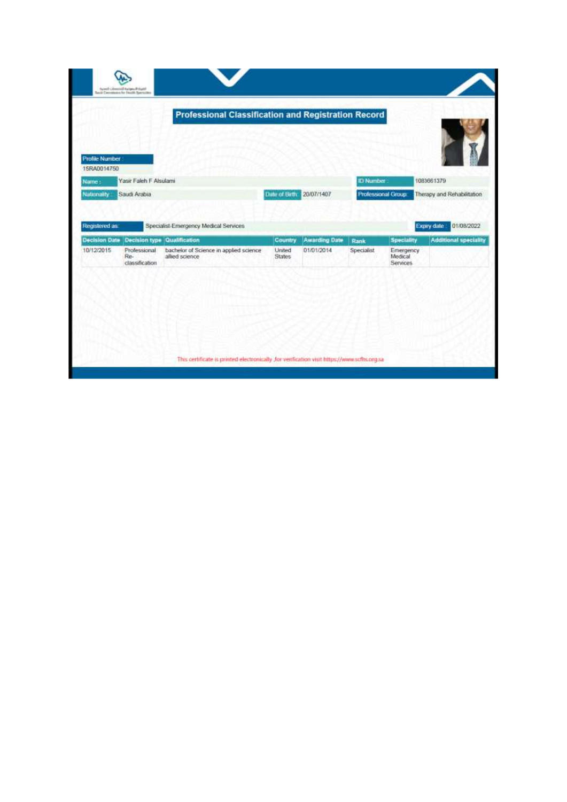| land Carolinans by Hottle Sarriott   |                                                               | <b>Professional Classification and Registration Record</b>                |                                    |                                    |                     |                                                       |                                                                          |
|--------------------------------------|---------------------------------------------------------------|---------------------------------------------------------------------------|------------------------------------|------------------------------------|---------------------|-------------------------------------------------------|--------------------------------------------------------------------------|
| <b>Profile Number</b><br>15RA0014750 |                                                               |                                                                           |                                    |                                    |                     |                                                       |                                                                          |
| Name:                                | Yasir Faleh F Alsulami                                        |                                                                           |                                    |                                    | <b>ID Number</b>    |                                                       | 1083661379                                                               |
|                                      |                                                               |                                                                           |                                    |                                    |                     |                                                       |                                                                          |
| Nationality:<br>Registered as:       | Saudi Arabia                                                  | Specialist-Emergency Medical Services                                     | Date of Birth:                     | 20/07/1407                         | Professional Group: |                                                       | Expiry date                                                              |
|                                      | <b>Decision type</b><br>Professional<br>Re-<br>classification | Qualification<br>bachelor of Science in applied science<br>allied science | Country<br>United<br><b>States</b> | <b>Awarding Date</b><br>01/01/2014 | Rank<br>Specialist  | Speciality<br>Emergency<br>Medical<br><b>Services</b> | Therapy and Rehabilitation<br>01/08/2022<br><b>Additional speciality</b> |
|                                      |                                                               |                                                                           |                                    |                                    |                     |                                                       |                                                                          |
|                                      |                                                               |                                                                           |                                    |                                    |                     |                                                       |                                                                          |
| <b>Decision Date</b><br>10/12/2015   |                                                               |                                                                           |                                    |                                    |                     |                                                       |                                                                          |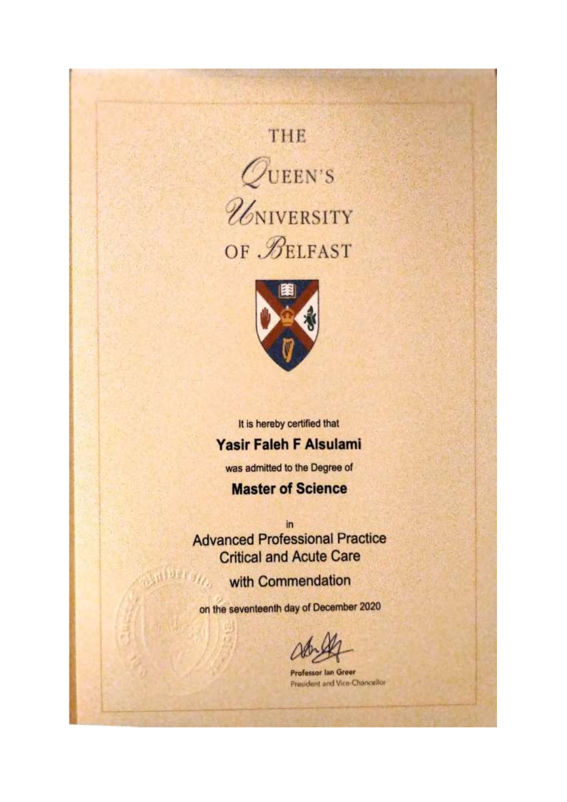# THE





It is hereby certified that

## Yasir Faleh F Alsulami

was admitted to the Degree of

## **Master of Science**

in **Advanced Professional Practice Critical and Acute Care** 

with Commendation

on the seventeenth day of December 2020

**Professor lan Green** President and Vice-Chancellor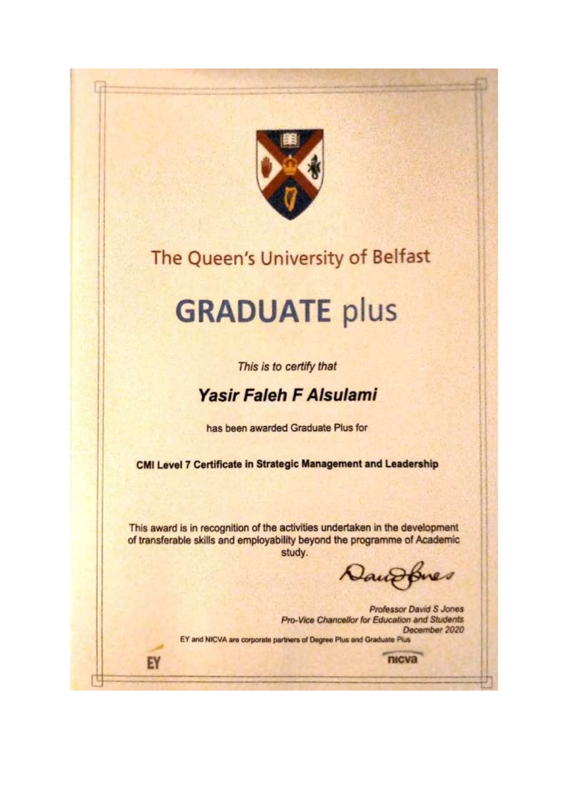

# The Queen's University of Belfast

# **GRADUATE plus**

This is to certify that

# **Yasir Faleh F Alsulami**

has been awarded Graduate Plus for

**CMI Level 7 Certificate in Strategic Management and Leadership** 

This award is in recognition of the activities undertaken in the development of transferable skills and employability beyond the programme of Academic study.

EY

Iouro  $Q$ 

nicva

**Professor David S Jones** Pro-Vice Chancellor for Education and Students December 2020 EY and NICVA are corporate partners of Degree Plus and Graduate Plus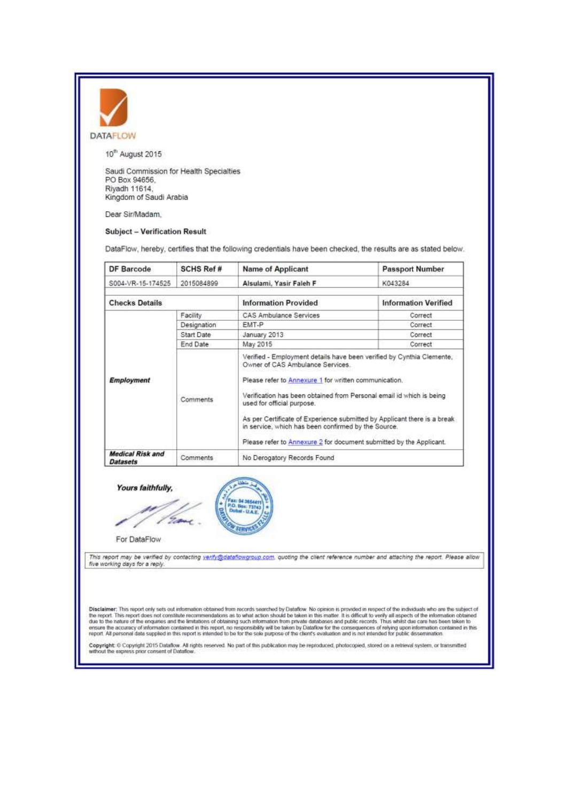

10<sup>m</sup> August 2015

Saudi Commission for Health Specialties PO Box 94656. Riyadh 11614, Kingdom of Saudi Arabia

Dear Sir/Madam.

#### **Subject - Verification Result**

DataFlow, hereby, certifies that the following credentials have been checked, the results are as stated below.

| <b>DF Barcode</b>                   | SCHS Ref #        | <b>Name of Applicant</b>                                                                                                                                                                                                                                                                                                                                                                                  | <b>Passport Number</b>      |  |
|-------------------------------------|-------------------|-----------------------------------------------------------------------------------------------------------------------------------------------------------------------------------------------------------------------------------------------------------------------------------------------------------------------------------------------------------------------------------------------------------|-----------------------------|--|
| S004-VR-15-174525                   | 2015084899        | Alsulami, Yasir Faleh F                                                                                                                                                                                                                                                                                                                                                                                   | K043284                     |  |
| <b>Checks Details</b>               |                   | <b>Information Provided</b>                                                                                                                                                                                                                                                                                                                                                                               | <b>Information Verified</b> |  |
|                                     | Facility          | CAS Ambulance Services                                                                                                                                                                                                                                                                                                                                                                                    | Correct                     |  |
|                                     | Designation       | EMT-P                                                                                                                                                                                                                                                                                                                                                                                                     | Correct                     |  |
|                                     | <b>Start Date</b> | January 2013                                                                                                                                                                                                                                                                                                                                                                                              | Correct                     |  |
|                                     | End Date          | May 2015                                                                                                                                                                                                                                                                                                                                                                                                  | Correct                     |  |
| <b>Employment</b>                   | Comments          | Owner of CAS Ambulance Services.<br>Please refer to Annexure 1 for written communication.<br>Verification has been obtained from Personal email id which is being<br>used for official purpose.<br>As per Certificate of Experience submitted by Applicant there is a break<br>in service, which has been confirmed by the Source.<br>Please refer to Annexure 2 for document submitted by the Applicant. |                             |  |
| Medical Risk and<br><b>Datasets</b> | <b>Comments</b>   | No Derogatory Records Found                                                                                                                                                                                                                                                                                                                                                                               |                             |  |

Yours faithfully,

e For DataFlow

This report may be verified by contacting <u>verify@dataflowgroup.com</u>, quoting the client reference number and attaching the report. Please allow<br>five working days for a reply.

Disclaimer; This report only sets out information obtained from necords searched by Dataflow. No opinion is provided in respect of the individuals who are the subject of<br>the report. This report does not constitute recommen

Copyright: © Copyright 2015 Dataflow. All rights reserved. No part of this publication may be reproduced, photocopied, stored on a retrieval system, or transmitted without the express prior consent of Dataflow.